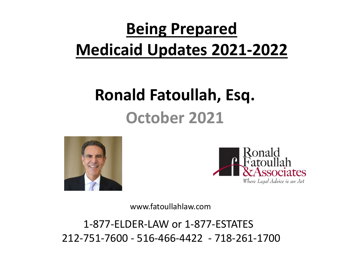#### **Being Prepared Medicaid Updates 2021-2022**

#### **Ronald Fatoullah, Esq. October 2021**





www.fatoullahlaw.com

1-877-ELDER-LAW or 1-877-ESTATES 212-751-7600 - 516-466-4422 - 718-261-1700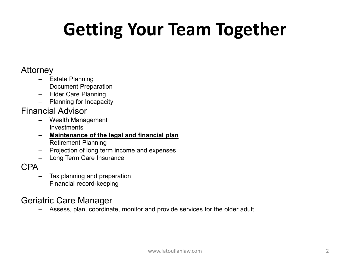### **Getting Your Team Together**

#### Attorney

- Estate Planning
- Document Preparation
- Elder Care Planning
- Planning for Incapacity

#### Financial Advisor

- Wealth Management
- **Investments**
- **Maintenance of the legal and financial plan**
- Retirement Planning
- Projection of long term income and expenses
- Long Term Care Insurance

- CPA– Tax planning and preparation
	- Financial record-keeping

#### Geriatric Care Manager

– Assess, plan, coordinate, monitor and provide services for the older adult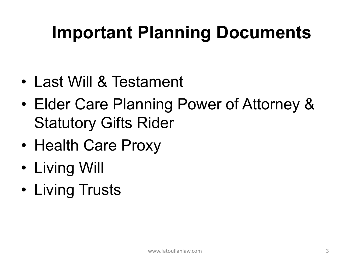### **Important Planning Documents**

- Last Will & Testament
- Elder Care Planning Power of Attorney & Statutory Gifts Rider
- Health Care Proxy
- Living Will
- Living Trusts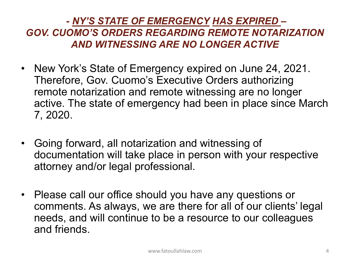#### *- NY'S STATE OF EMERGENCY HAS EXPIRED – GOV. CUOMO'S ORDERS REGARDING REMOTE NOTARIZATION AND WITNESSING ARE NO LONGER ACTIVE*

- New York's State of Emergency expired on June 24, 2021. Therefore, Gov. Cuomo's Executive Orders authorizing remote notarization and remote witnessing are no longer active. The state of emergency had been in place since March 7, 2020.
- Going forward, all notarization and witnessing of documentation will take place in person with your respective attorney and/or legal professional.
- Please call our office should you have any questions or comments. As always, we are there for all of our clients' legal needs, and will continue to be a resource to our colleagues and friends.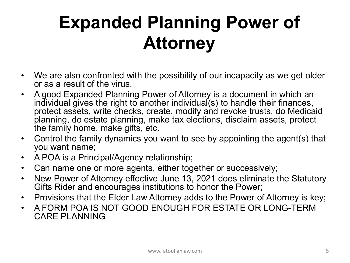#### **Expanded Planning Power of Attorney**

- We are also confronted with the possibility of our incapacity as we get older or as a result of the virus.
- A good Expanded Planning Power of Attorney is a document in which an individual gives the right to another individual(s) to handle their finances, protect assets, write checks, create, modify and revoke trusts, do Medicaid planning, do estate planning, make tax elections, disclaim assets, protect the family home, make gifts, etc.
- Control the family dynamics you want to see by appointing the agent(s) that you want name;
- A POA is a Principal/Agency relationship;
- Can name one or more agents, either together or successively;
- New Power of Attorney effective June 13, 2021 does eliminate the Statutory Gifts Rider and encourages institutions to honor the Power;
- Provisions that the Elder Law Attorney adds to the Power of Attorney is key;
- A FORM POA IS NOT GOOD ENOUGH FOR ESTATE OR LONG-TERM CARE PLANNING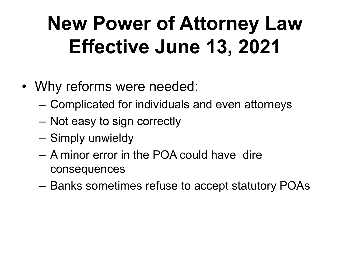## **New Power of Attorney Law Effective June 13, 2021**

- Why reforms were needed:
	- Complicated for individuals and even attorneys
	- Not easy to sign correctly
	- Simply unwieldy
	- A minor error in the POA could have dire consequences
	- Banks sometimes refuse to accept statutory POAs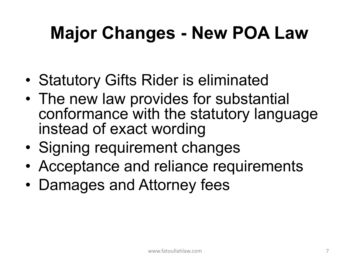### **Major Changes - New POA Law**

- Statutory Gifts Rider is eliminated
- The new law provides for substantial conformance with the statutory language instead of exact wording
- Signing requirement changes
- Acceptance and reliance requirements
- Damages and Attorney fees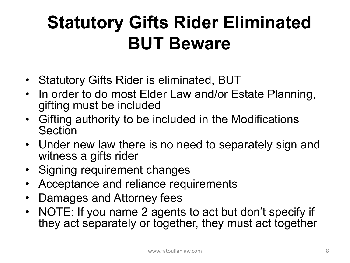### **Statutory Gifts Rider Eliminated BUT Beware**

- Statutory Gifts Rider is eliminated, BUT
- In order to do most Elder Law and/or Estate Planning, gifting must be included
- Gifting authority to be included in the Modifications **Section**
- Under new law there is no need to separately sign and witness a gifts rider
- Signing requirement changes
- Acceptance and reliance requirements
- Damages and Attorney fees
- NOTE: If you name 2 agents to act but don't specify if they act separately or together, they must act together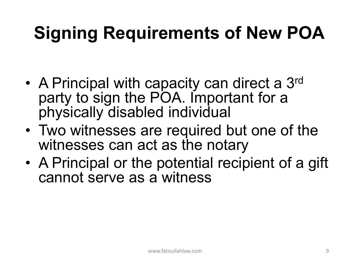### **Signing Requirements of New POA**

- A Principal with capacity can direct a 3<sup>rd</sup> party to sign the POA. Important for a physically disabled individual
- Two witnesses are required but one of the witnesses can act as the notary
- A Principal or the potential recipient of a gift cannot serve as a witness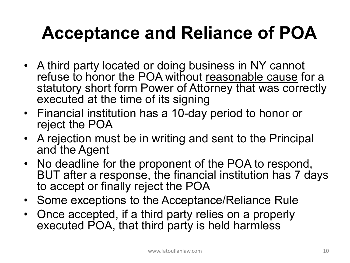#### **Acceptance and Reliance of POA**

- A third party located or doing business in NY cannot refuse to honor the POA without reasonable cause for a statutory short form Power of Attorney that was correctly executed at the time of its signing
- Financial institution has a 10-day period to honor or reject the POA
- A rejection must be in writing and sent to the Principal and the Agent
- No deadline for the proponent of the POA to respond, BUT after a response, the financial institution has 7 days to accept or finally reject the POA
- Some exceptions to the Acceptance/Reliance Rule
- Once accepted, if a third party relies on a properly executed POA, that third party is held harmless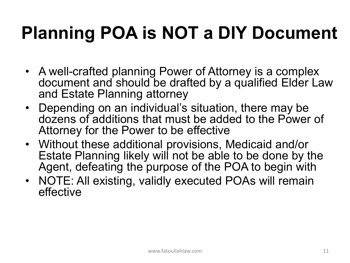### **Planning POA is NOT a DIY Document**

- A well-crafted planning Power of Attorney is a complex document and should be drafted by a qualified Elder Law and Estate Planning attorney
- Depending on an individual's situation, there may be dozens of additions that must be added to the Power of Attorney for the Power to be effective
- Without these additional provisions, Medicaid and/or Estate Planning likely will not be able to be done by the Agent, defeating the purpose of the POA to begin with
- NOTE: All existing, validly executed POAs will remain effective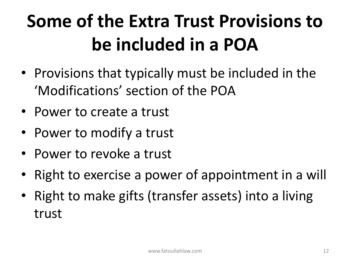## **Some of the Extra Trust Provisions to be included in a POA**

- Provisions that typically must be included in the 'Modifications' section of the POA
- Power to create a trust
- Power to modify a trust
- Power to revoke a trust
- Right to exercise a power of appointment in a will
- Right to make gifts (transfer assets) into a living trust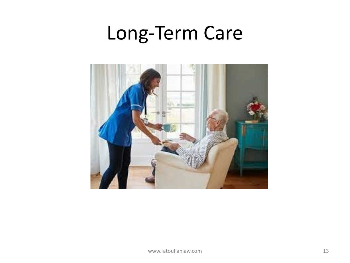### Long-Term Care

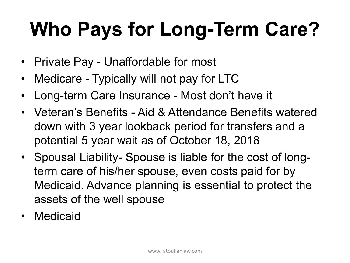## **Who Pays for Long-Term Care?**

- Private Pay Unaffordable for most
- Medicare Typically will not pay for LTC
- Long-term Care Insurance Most don't have it
- Veteran's Benefits Aid & Attendance Benefits watered down with 3 year lookback period for transfers and a potential 5 year wait as of October 18, 2018
- Spousal Liability- Spouse is liable for the cost of longterm care of his/her spouse, even costs paid for by Medicaid. Advance planning is essential to protect the assets of the well spouse
- **Medicaid**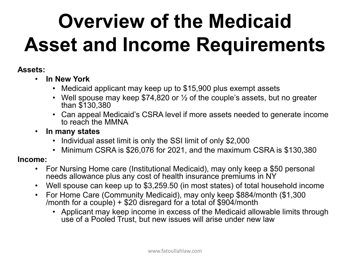## **Overview of the Medicaid Asset and Income Requirements**

#### **Assets:**

- **In New York**
	- Medicaid applicant may keep up to \$15,900 plus exempt assets
	- Well spouse may keep \$74,820 or  $\frac{1}{2}$  of the couple's assets, but no greater than \$130,380
	- Can appeal Medicaid's CSRA level if more assets needed to generate income to reach the MMNA
- **In many states**
	- Individual asset limit is only the SSI limit of only \$2,000
	- Minimum CSRA is \$26,076 for 2021, and the maximum CSRA is \$130,380

#### **Income:**

- For Nursing Home care (Institutional Medicaid), may only keep a \$50 personal needs allowance plus any cost of health insurance premiums in NY
- Well spouse can keep up to \$3,259.50 (in most states) of total household income
- For Home Care (Community Medicaid), may only keep \$884/month (\$1,300 /month for a couple)  $+$  \$20 disregard for a total of \$904/month
	- Applicant may keep income in excess of the Medicaid allowable limits through use of a Pooled Trust, but new issues will arise under new law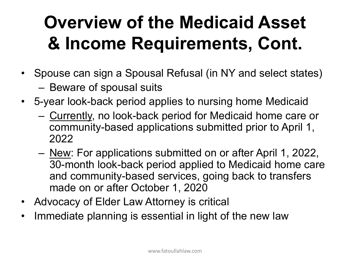### **Overview of the Medicaid Asset & Income Requirements, Cont.**

- Spouse can sign a Spousal Refusal (in NY and select states)
	- Beware of spousal suits
- 5-year look-back period applies to nursing home Medicaid
	- Currently, no look-back period for Medicaid home care or community-based applications submitted prior to April 1, 2022
	- New: For applications submitted on or after April 1, 2022, 30-month look-back period applied to Medicaid home care and community-based services, going back to transfers made on or after October 1, 2020
- Advocacy of Elder Law Attorney is critical
- Immediate planning is essential in light of the new law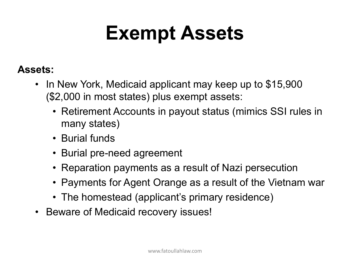## **Exempt Assets**

#### **Assets:**

- In New York, Medicaid applicant may keep up to \$15,900 (\$2,000 in most states) plus exempt assets:
	- Retirement Accounts in payout status (mimics SSI rules in many states)
	- Burial funds
	- Burial pre-need agreement
	- Reparation payments as a result of Nazi persecution
	- Payments for Agent Orange as a result of the Vietnam war
	- The homestead (applicant's primary residence)
- Beware of Medicaid recovery issues!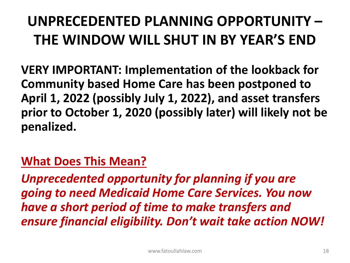#### **UNPRECEDENTED PLANNING OPPORTUNITY – THE WINDOW WILL SHUT IN BY YEAR'S END**

**VERY IMPORTANT: Implementation of the lookback for Community based Home Care has been postponed to April 1, 2022 (possibly July 1, 2022), and asset transfers prior to October 1, 2020 (possibly later) will likely not be penalized.** 

#### **What Does This Mean?**

*Unprecedented opportunity for planning if you are going to need Medicaid Home Care Services. You now have a short period of time to make transfers and ensure financial eligibility. Don't wait take action NOW!*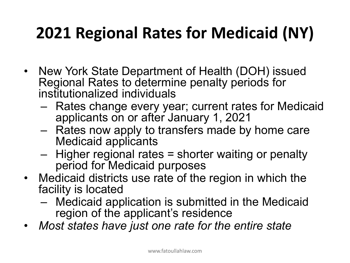#### **2021 Regional Rates for Medicaid (NY)**

- New York State Department of Health (DOH) issued Regional Rates to determine penalty periods for institutionalized individuals
	- Rates change every year; current rates for Medicaid applicants on or after January 1, 2021
	- Rates now apply to transfers made by home care Medicaid applicants
	- Higher regional rates = shorter waiting or penalty period for Medicaid purposes
- Medicaid districts use rate of the region in which the facility is located
	- Medicaid application is submitted in the Medicaid region of the applicant's residence
- *Most states have just one rate for the entire state*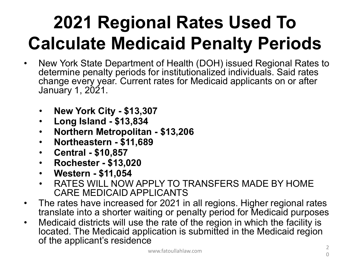### **2021 Regional Rates Used To Calculate Medicaid Penalty Periods**

- New York State Department of Health (DOH) issued Regional Rates to determine penalty periods for institutionalized individuals. Said rates change every year. Current rates for Medicaid applicants on or after January 1, 2021.
	- **New York City - \$13,307**
	- **Long Island - \$13,834**
	- **Northern Metropolitan - \$13,206**
	- **Northeastern - \$11,689**
	- **Central - \$10,857**
	- **Rochester - \$13,020**
	- **Western - \$11,054**
	- RATES WILL NOW APPLY TO TRANSFERS MADE BY HOME CARE MEDICAID APPLICANTS
- The rates have increased for 2021 in all regions. Higher regional rates translate into a shorter waiting or penalty period for Medicaid purposes
- Medicaid districts will use the rate of the region in which the facility is located. The Medicaid application is submitted in the Medicaid region of the applicant's residence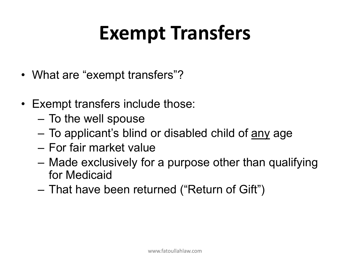## **Exempt Transfers**

- What are "exempt transfers"?
- Exempt transfers include those:
	- To the well spouse
	- To applicant's blind or disabled child of any age
	- For fair market value
	- Made exclusively for a purpose other than qualifying for Medicaid
	- That have been returned ("Return of Gift")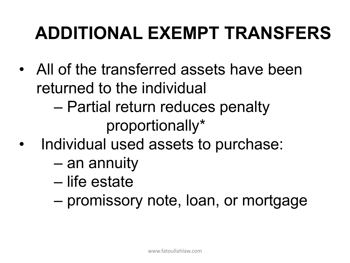### **ADDITIONAL EXEMPT TRANSFERS**

- All of the transferred assets have been returned to the individual
	- Partial return reduces penalty proportionally\*
- Individual used assets to purchase:
	- an annuity
	- life estate
	- promissory note, loan, or mortgage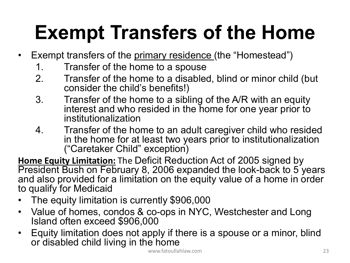## **Exempt Transfers of the Home**

- Exempt transfers of the primary residence (the "Homestead")
	- 1. Transfer of the home to a spouse
	- 2. Transfer of the home to a disabled, blind or minor child (but consider the child's benefits!)
	- 3. Transfer of the home to a sibling of the A/R with an equity interest and who resided in the home for one year prior to institutionalization
	- 4. Transfer of the home to an adult caregiver child who resided in the home for at least two years prior to institutionalization ("Caretaker Child" exception)

**Home Equity Limitation:** The Deficit Reduction Act of 2005 signed by President Bush on February 8, 2006 expanded the look-back to 5 years and also provided for a limitation on the equity value of a home in order to qualify for Medicaid

- The equity limitation is currently \$906,000
- Value of homes, condos & co-ops in NYC, Westchester and Long<br>Island often exceed \$906,000
- Equity limitation does not apply if there is a spouse or a minor, blind or disabled child living in the home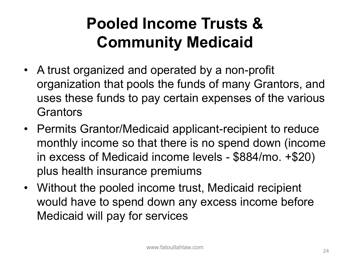#### **Pooled Income Trusts & Community Medicaid**

- A trust organized and operated by a non-profit organization that pools the funds of many Grantors, and uses these funds to pay certain expenses of the various **Grantors**
- Permits Grantor/Medicaid applicant-recipient to reduce monthly income so that there is no spend down (income in excess of Medicaid income levels - \$884/mo. +\$20) plus health insurance premiums
- Without the pooled income trust, Medicaid recipient would have to spend down any excess income before Medicaid will pay for services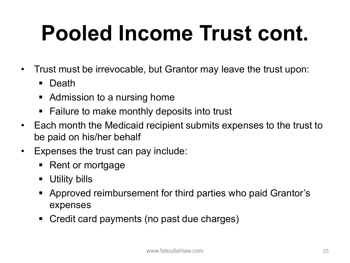# **Pooled Income Trust cont.**

- Trust must be irrevocable, but Grantor may leave the trust upon:
	- **Death**
	- Admission to a nursing home
	- Failure to make monthly deposits into trust
- Each month the Medicaid recipient submits expenses to the trust to be paid on his/her behalf
- Expenses the trust can pay include:
	- Rent or mortgage
	- Utility bills
	- Approved reimbursement for third parties who paid Grantor's expenses
	- Credit card payments (no past due charges)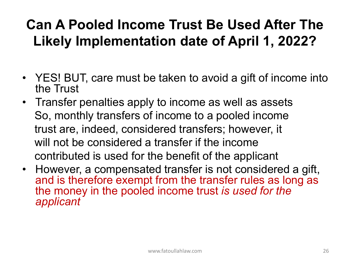#### **Can A Pooled Income Trust Be Used After The Likely Implementation date of April 1, 2022?**

- YES! BUT, care must be taken to avoid a gift of income into the Trust
- Transfer penalties apply to income as well as assets So, monthly transfers of income to a pooled income trust are, indeed, considered transfers; however, it will not be considered a transfer if the income contributed is used for the benefit of the applicant
- However, a compensated transfer is not considered a gift, and is therefore exempt from the transfer rules as long as the money in the pooled income trust *is used for the applicant*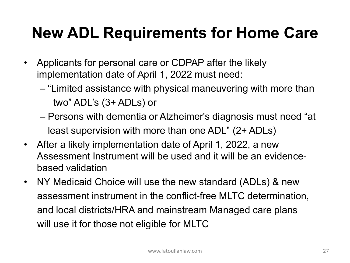#### **New ADL Requirements for Home Care**

- Applicants for personal care or CDPAP after the likely implementation date of April 1, 2022 must need:
	- "Limited assistance with physical maneuvering with more than two" ADL's (3+ ADLs) or
	- Persons with dementia or Alzheimer's diagnosis must need "at least supervision with more than one ADL" (2+ ADLs)
- After a likely implementation date of April 1, 2022, a new Assessment Instrument will be used and it will be an evidencebased validation
- NY Medicaid Choice will use the new standard (ADLs) & new assessment instrument in the conflict-free MLTC determination, and local districts/HRA and mainstream Managed care plans will use it for those not eligible for MLTC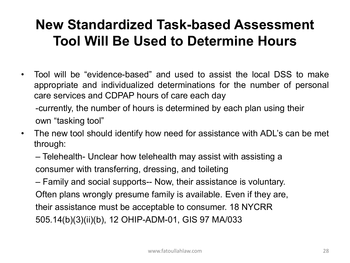#### **New Standardized Task-based Assessment Tool Will Be Used to Determine Hours**

• Tool will be "evidence-based" and used to assist the local DSS to make appropriate and individualized determinations for the number of personal care services and CDPAP hours of care each day

-currently, the number of hours is determined by each plan using their own "tasking tool"

• The new tool should identify how need for assistance with ADL's can be met through:

– Telehealth- Unclear how telehealth may assist with assisting a consumer with transferring, dressing, and toileting

– Family and social supports-- Now, their assistance is voluntary. Often plans wrongly presume family is available. Even if they are, their assistance must be acceptable to consumer. 18 NYCRR 505.14(b)(3)(ii)(b), 12 OHIP-ADM-01, GIS 97 MA/033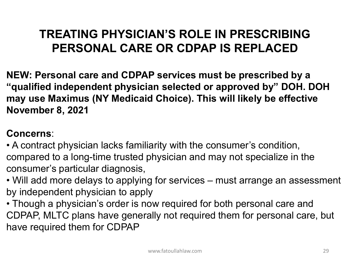#### **TREATING PHYSICIAN'S ROLE IN PRESCRIBING PERSONAL CARE OR CDPAP IS REPLACED**

**NEW: Personal care and CDPAP services must be prescribed by a "qualified independent physician selected or approved by" DOH. DOH may use Maximus (NY Medicaid Choice). This will likely be effective November 8, 2021**

#### **Concerns**:

• A contract physician lacks familiarity with the consumer's condition, compared to a long-time trusted physician and may not specialize in the consumer's particular diagnosis,

• Will add more delays to applying for services – must arrange an assessment by independent physician to apply

• Though a physician's order is now required for both personal care and CDPAP, MLTC plans have generally not required them for personal care, but have required them for CDPAP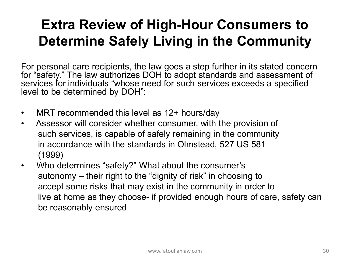#### **Extra Review of High-Hour Consumers to Determine Safely Living in the Community**

For personal care recipients, the law goes a step further in its stated concern for "safety." The law authorizes DOH to adopt standards and assessment of services for individuals "whose need for such services exceeds a specified level to be determined by DOH":

- MRT recommended this level as 12+ hours/day
- Assessor will consider whether consumer, with the provision of such services, is capable of safely remaining in the community in accordance with the standards in Olmstead, 527 US 581 (1999)
- Who determines "safety?" What about the consumer's autonomy – their right to the "dignity of risk" in choosing to accept some risks that may exist in the community in order to live at home as they choose- if provided enough hours of care, safety can be reasonably ensured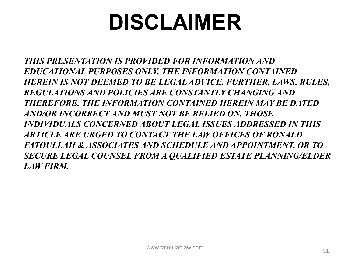## **DISCLAIMER**

*THIS PRESENTATION IS PROVIDED FOR INFORMATION AND EDUCATIONAL PURPOSES ONLY. THE INFORMATION CONTAINED HEREIN IS NOT DEEMED TO BE LEGAL ADVICE. FURTHER, LAWS, RULES, REGULATIONS AND POLICIES ARE CONSTANTLY CHANGING AND THEREFORE, THE INFORMATION CONTAINED HEREIN MAY BE DATED AND/OR INCORRECT AND MUST NOT BE RELIED ON. THOSE INDIVIDUALS CONCERNED ABOUT LEGAL ISSUES ADDRESSED IN THIS ARTICLE ARE URGED TO CONTACT THE LAW OFFICES OF RONALD FATOULLAH & ASSOCIATES AND SCHEDULE AND APPOINTMENT, OR TO SECURE LEGAL COUNSEL FROM A QUALIFIED ESTATE PLANNING/ELDER LAW FIRM.*